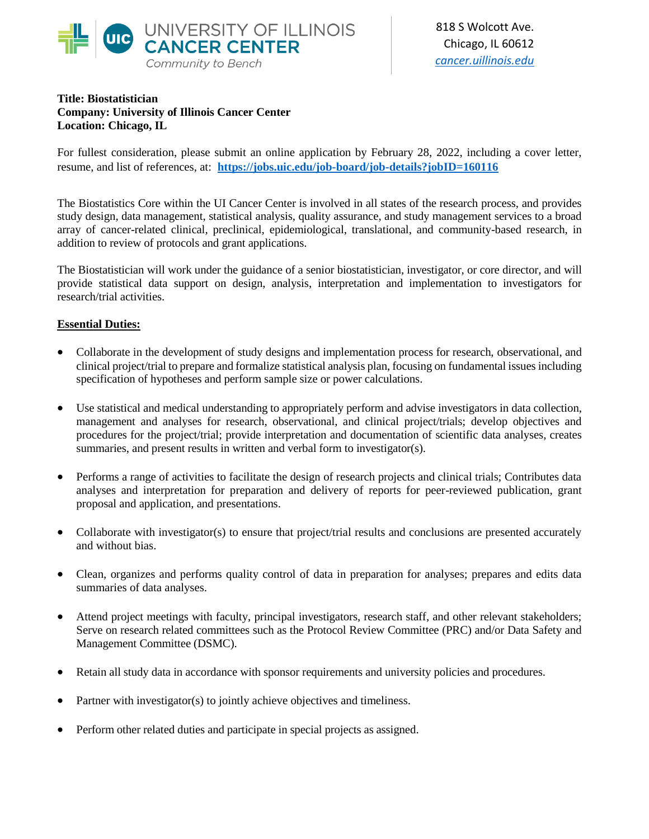

## **Title: Biostatistician Company: University of Illinois Cancer Center Location: Chicago, IL**

For fullest consideration, please submit an online application by February 28, 2022, including a cover letter, resume, and list of references, at: **<https://jobs.uic.edu/job-board/job-details?jobID=160116>**

The Biostatistics Core within the UI Cancer Center is involved in all states of the research process, and provides study design, data management, statistical analysis, quality assurance, and study management services to a broad array of cancer-related clinical, preclinical, epidemiological, translational, and community-based research, in addition to review of protocols and grant applications.

The Biostatistician will work under the guidance of a senior biostatistician, investigator, or core director, and will provide statistical data support on design, analysis, interpretation and implementation to investigators for research/trial activities.

## **Essential Duties:**

- Collaborate in the development of study designs and implementation process for research, observational, and clinical project/trial to prepare and formalize statistical analysis plan, focusing on fundamental issues including specification of hypotheses and perform sample size or power calculations.
- Use statistical and medical understanding to appropriately perform and advise investigators in data collection, management and analyses for research, observational, and clinical project/trials; develop objectives and procedures for the project/trial; provide interpretation and documentation of scientific data analyses, creates summaries, and present results in written and verbal form to investigator(s).
- Performs a range of activities to facilitate the design of research projects and clinical trials; Contributes data analyses and interpretation for preparation and delivery of reports for peer-reviewed publication, grant proposal and application, and presentations.
- Collaborate with investigator(s) to ensure that project/trial results and conclusions are presented accurately and without bias.
- Clean, organizes and performs quality control of data in preparation for analyses; prepares and edits data summaries of data analyses.
- Attend project meetings with faculty, principal investigators, research staff, and other relevant stakeholders; Serve on research related committees such as the Protocol Review Committee (PRC) and/or Data Safety and Management Committee (DSMC).
- Retain all study data in accordance with sponsor requirements and university policies and procedures.
- Partner with investigator(s) to jointly achieve objectives and timeliness.
- Perform other related duties and participate in special projects as assigned.